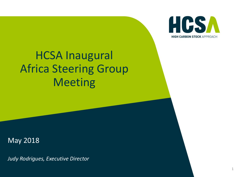

## HCSA Inaugural Africa Steering Group Meeting

May 2018

*Judy Rodrigues, Executive Director*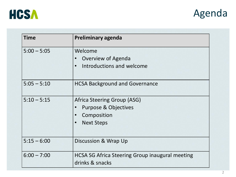



| <b>Time</b>   | <b>Preliminary agenda</b>                                                 |
|---------------|---------------------------------------------------------------------------|
| $5:00 - 5:05$ | Welcome<br>Overview of Agenda<br>$\bullet$                                |
|               | Introductions and welcome<br>$\bullet$                                    |
| $5:05 - 5:10$ | <b>HCSA Background and Governance</b>                                     |
| $5:10 - 5:15$ | Africa Steering Group (ASG)                                               |
|               | <b>Purpose &amp; Objectives</b>                                           |
|               | Composition<br>$\bullet$                                                  |
|               | <b>Next Steps</b><br>$\bullet$                                            |
| $5:15 - 6:00$ | Discussion & Wrap Up                                                      |
| $6:00 - 7:00$ | <b>HCSA SG Africa Steering Group inaugural meeting</b><br>drinks & snacks |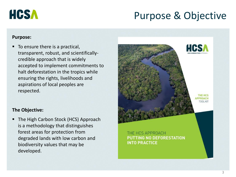

## Purpose & Objective

#### **Purpose:**

■ To ensure there is a practical, transparent, robust, and scientificallycredible approach that is widely accepted to implement commitments to halt deforestation in the tropics while ensuring the rights, livelihoods and aspirations of local peoples are respected.



#### **The Objective:**

■ The High Carbon Stock (HCS) Approach is a methodology that distinguishes forest areas for protection from degraded lands with low carbon and biodiversity values that may be developed.

THE HCS APPROACH **PUTTING NO DEFORESTATION INTO PRACTICE**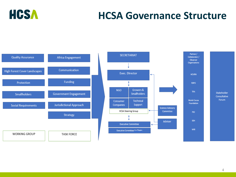

## **HCSA Governance Structure**

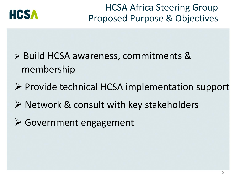

HCSA Africa Steering Group Proposed Purpose & Objectives

- ➢ Build HCSA awareness, commitments & membership
- ➢ Provide technical HCSA implementation support
- ➢ Network & consult with key stakeholders
- ➢ Government engagement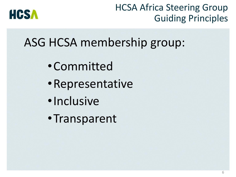

## HCSA Africa Steering Group Guiding Principles

# ASG HCSA membership group:

- •Committed
- •Representative
- •Inclusive
- •Transparent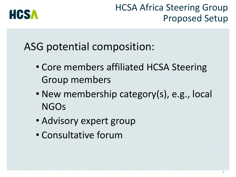

### HCSA Africa Steering Group Proposed Setup

## ASG potential composition:

- Core members affiliated HCSA Steering Group members
- New membership category(s), e.g., local NGOs
- Advisory expert group
- Consultative forum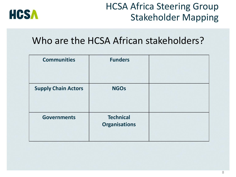

## HCSA Africa Steering Group Stakeholder Mapping

### Who are the HCSA African stakeholders?

| <b>Communities</b>         | <b>Funders</b>                           |  |
|----------------------------|------------------------------------------|--|
| <b>Supply Chain Actors</b> | <b>NGOs</b>                              |  |
| <b>Governments</b>         | <b>Technical</b><br><b>Organisations</b> |  |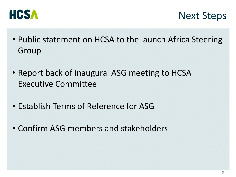



- Public statement on HCSA to the launch Africa Steering Group
- Report back of inaugural ASG meeting to HCSA Executive Committee
- Establish Terms of Reference for ASG
- Confirm ASG members and stakeholders